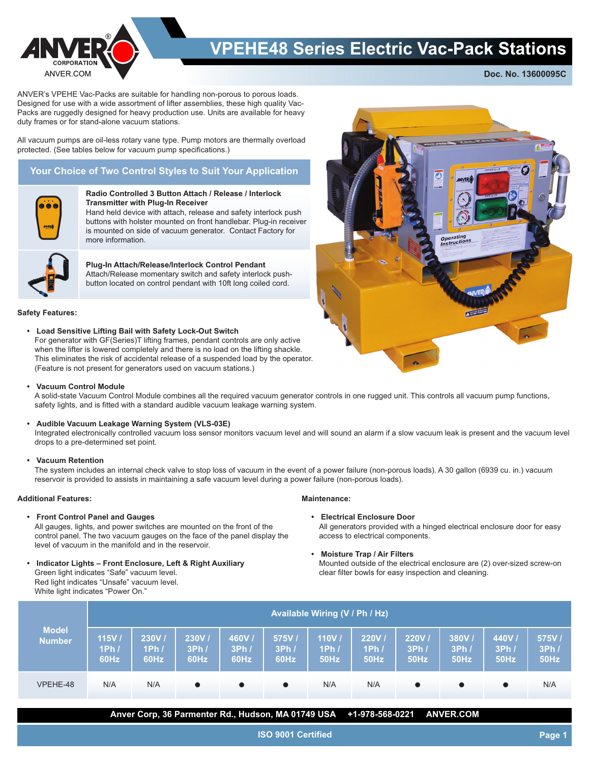

## **VPEHE48 Series Electric Vac-Pack Stations**

**Doc. No. 13600095C**

ANVER's VPEHE Vac-Packs are suitable for handling non-porous to porous loads. Designed for use with a wide assortment of lifter assemblies, these high quality Vac-Packs are ruggedly designed for heavy production use. Units are available for heavy duty frames or for stand-alone vacuum stations.

All vacuum pumps are oil-less rotary vane type. Pump motors are thermally overload protected. (See tables below for vacuum pump specifications.)

## **Your Choice of Two Control Styles to Suit Your Application**



#### **Radio Controlled 3 Button Attach / Release / Interlock Transmitter with Plug-In Receiver**

Hand held device with attach, release and safety interlock push buttons with holster mounted on front handlebar. Plug-in receiver is mounted on side of vacuum generator. Contact Factory for more information.



### **Plug-In Attach/Release/Interlock Control Pendant**

Attach/Release momentary switch and safety interlock pushbutton located on control pendant with 10ft long coiled cord.

#### **Safety Features:**

**• Load Sensitive Lifting Bail with Safety Lock-Out Switch** For generator with GF(Series)T lifting frames, pendant controls are only active when the lifter is lowered completely and there is no load on the lifting shackle. This eliminates the risk of accidental release of a suspended load by the operator. (Feature is not present for generators used on vacuum stations.)

#### **• Vacuum Control Module**

A solid-state Vacuum Control Module combines all the required vacuum generator controls in one rugged unit. This controls all vacuum pump functions, safety lights, and is fitted with a standard audible vacuum leakage warning system.

#### **• Audible Vacuum Leakage Warning System (VLS-03E)**

Integrated electronically controlled vacuum loss sensor monitors vacuum level and will sound an alarm if a slow vacuum leak is present and the vacuum level drops to a pre-determined set point.

#### **• Vacuum Retention**

The system includes an internal check valve to stop loss of vacuum in the event of a power failure (non-porous loads). A 30 gallon (6939 cu. in.) vacuum reservoir is provided to assists in maintaining a safe vacuum level during a power failure (non-porous loads).

### **Additional Features:**

**• Front Control Panel and Gauges**

All gauges, lights, and power switches are mounted on the front of the control panel. The two vacuum gauges on the face of the panel display the level of vacuum in the manifold and in the reservoir.

**• Indicator Lights – Front Enclosure, Left & Right Auxiliary** Green light indicates "Safe" vacuum level. Red light indicates "Unsafe" vacuum level. White light indicates "Power On."

#### **Maintenance:**

**• Electrical Enclosure Door**

All generators provided with a hinged electrical enclosure door for easy access to electrical components.

**• Moisture Trap / Air Filters**

Mounted outside of the electrical enclosure are (2) over-sized screw-on clear filter bowls for easy inspection and cleaning.

|                               | Available Wiring (V / Ph / Hz) |                        |                       |                                             |                                             |                              |                              |                                     |                              |                             |                              |
|-------------------------------|--------------------------------|------------------------|-----------------------|---------------------------------------------|---------------------------------------------|------------------------------|------------------------------|-------------------------------------|------------------------------|-----------------------------|------------------------------|
| <b>Model</b><br><b>Number</b> | 115V/<br>1Ph /<br>60Hz         | 230V/<br>1Ph /<br>60Hz | 230V/<br>3Ph/<br>60Hz | 460V/<br>$\mathsf{I3Ph}/\mathsf{I}$<br>60Hz | 575V/<br>$\mathsf{I3Ph}/\mathsf{I}$<br>60Hz | 110V/<br>1Ph/<br><b>50Hz</b> | <b>220V/</b><br>1Ph/<br>50Hz | <b>220V/</b><br>3Ph/<br><b>50Hz</b> | 380V/<br>3Ph/<br><b>50Hz</b> | 440V<br>3Ph/<br><b>50Hz</b> | 575V/<br>3Ph/<br><b>50Hz</b> |
| VPEHE-48                      | N/A                            | N/A                    | $\bullet$             | $\bullet$                                   | $\bullet$                                   | N/A                          | N/A                          | $\bullet$                           | $\bullet$                    | $\bullet$                   | N/A                          |

**Anver Corp, 36 Parmenter Rd., Hudson, MA 01749 USA +1-978-568-0221 ANVER.COM**

**ISO 9001 Certified**

**Page 1**

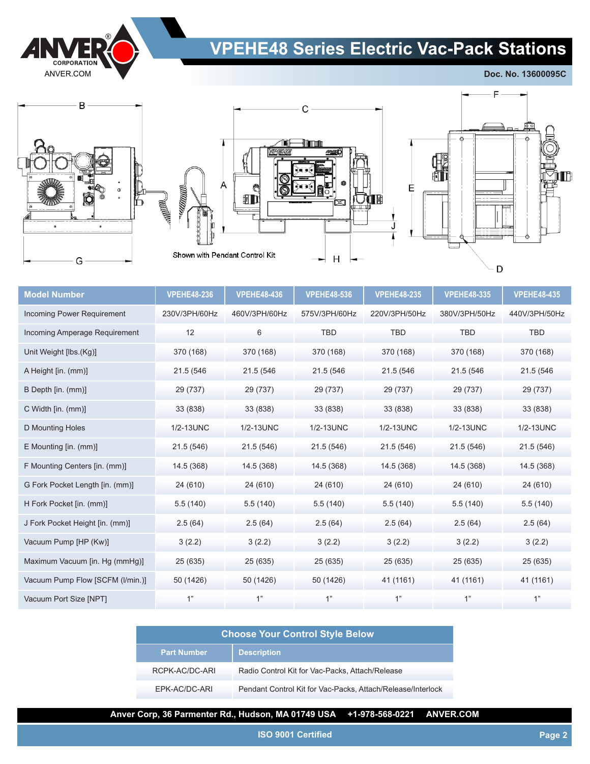

## **VPEHE48 Series Electric Vac-Pack Stations**

## **Doc. No. 13600095C**



 $\bigcap_{\text{comp}}$ 





| <b>Model Number</b>               | <b>VPEHE48-236</b> | <b>VPEHE48-436</b> | <b>VPEHE48-536</b> | <b>VPEHE48-235</b> | <b>VPEHE48-335</b> | <b>VPEHE48-435</b> |
|-----------------------------------|--------------------|--------------------|--------------------|--------------------|--------------------|--------------------|
| <b>Incoming Power Requirement</b> | 230V/3PH/60Hz      | 460V/3PH/60Hz      | 575V/3PH/60Hz      | 220V/3PH/50Hz      | 380V/3PH/50Hz      | 440V/3PH/50Hz      |
| Incoming Amperage Requirement     | 12                 | 6                  | <b>TBD</b>         | <b>TBD</b>         | <b>TBD</b>         | <b>TBD</b>         |
| Unit Weight [lbs.(Kg)]            | 370 (168)          | 370 (168)          | 370 (168)          | 370 (168)          | 370 (168)          | 370 (168)          |
| A Height [in. (mm)]               | 21.5 (546)         | 21.5 (546)         | 21.5 (546)         | 21.5 (546          | 21.5 (546          | 21.5 (546)         |
| B Depth [in. (mm)]                | 29 (737)           | 29 (737)           | 29 (737)           | 29 (737)           | 29 (737)           | 29 (737)           |
| C Width [in. (mm)]                | 33 (838)           | 33 (838)           | 33 (838)           | 33 (838)           | 33 (838)           | 33 (838)           |
| D Mounting Holes                  | 1/2-13UNC          | 1/2-13UNC          | 1/2-13UNC          | 1/2-13UNC          | 1/2-13UNC          | 1/2-13UNC          |
| E Mounting [in. (mm)]             | 21.5 (546)         | 21.5 (546)         | 21.5(546)          | 21.5 (546)         | 21.5(546)          | 21.5(546)          |
| F Mounting Centers [in. (mm)]     | 14.5 (368)         | 14.5 (368)         | 14.5 (368)         | 14.5 (368)         | 14.5 (368)         | 14.5 (368)         |
| G Fork Pocket Length [in. (mm)]   | 24 (610)           | 24 (610)           | 24 (610)           | 24 (610)           | 24 (610)           | 24 (610)           |
| H Fork Pocket [in. (mm)]          | 5.5(140)           | 5.5(140)           | 5.5(140)           | 5.5(140)           | 5.5(140)           | 5.5(140)           |
| J Fork Pocket Height [in. (mm)]   | 2.5(64)            | 2.5(64)            | 2.5(64)            | 2.5(64)            | 2.5(64)            | 2.5(64)            |
| Vacuum Pump [HP (Kw)]             | 3(2.2)             | 3(2.2)             | 3(2.2)             | 3(2.2)             | 3(2.2)             | 3(2.2)             |
| Maximum Vacuum [in. Hg (mmHg)]    | 25 (635)           | 25 (635)           | 25 (635)           | 25 (635)           | 25 (635)           | 25 (635)           |
| Vacuum Pump Flow [SCFM (I/min.)]  | 50 (1426)          | 50 (1426)          | 50 (1426)          | 41 (1161)          | 41 (1161)          | 41 (1161)          |
| Vacuum Port Size [NPT]            | 1"                 | 1"                 | 1"                 | 1"                 | 1"                 | 1"                 |

| <b>Choose Your Control Style Below</b> |                                                             |  |  |  |
|----------------------------------------|-------------------------------------------------------------|--|--|--|
| <b>Part Number</b>                     | <b>Description</b>                                          |  |  |  |
| RCPK-AC/DC-ARI                         | Radio Control Kit for Vac-Packs, Attach/Release             |  |  |  |
| FPK-AC/DC-ARI                          | Pendant Control Kit for Vac-Packs, Attach/Release/Interlock |  |  |  |

**Anver Corp, 36 Parmenter Rd., Hudson, MA 01749 USA +1-978-568-0221 ANVER.COM**

**ISO 9001 Certified**